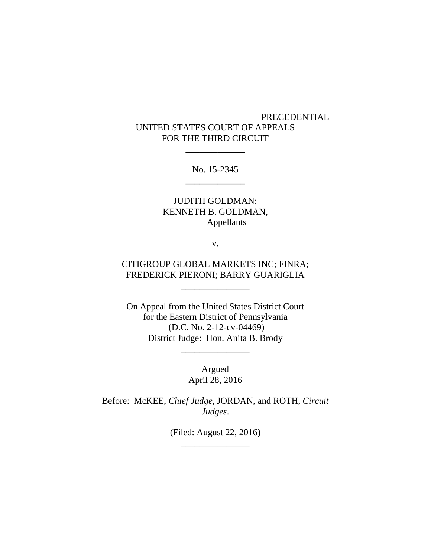# PRECEDENTIAL UNITED STATES COURT OF APPEALS FOR THE THIRD CIRCUIT

No. 15-2345 \_\_\_\_\_\_\_\_\_\_\_\_\_

\_\_\_\_\_\_\_\_\_\_\_\_\_

# JUDITH GOLDMAN; KENNETH B. GOLDMAN, Appellants

v.

# CITIGROUP GLOBAL MARKETS INC; FINRA; FREDERICK PIERONI; BARRY GUARIGLIA

\_\_\_\_\_\_\_\_\_\_\_\_\_\_\_

On Appeal from the United States District Court for the Eastern District of Pennsylvania (D.C. No. 2-12-cv-04469) District Judge: Hon. Anita B. Brody

> Argued April 28, 2016

\_\_\_\_\_\_\_\_\_\_\_\_\_\_\_

Before: McKEE, *Chief Judge*, JORDAN, and ROTH, *Circuit Judges*.

> (Filed: August 22, 2016) \_\_\_\_\_\_\_\_\_\_\_\_\_\_\_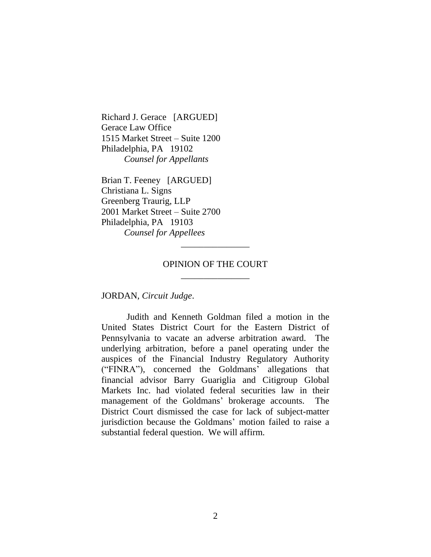Richard J. Gerace [ARGUED] Gerace Law Office 1515 Market Street – Suite 1200 Philadelphia, PA 19102 *Counsel for Appellants*

Brian T. Feeney [ARGUED] Christiana L. Signs Greenberg Traurig, LLP 2001 Market Street – Suite 2700 Philadelphia, PA 19103 *Counsel for Appellees*

# OPINION OF THE COURT \_\_\_\_\_\_\_\_\_\_\_\_\_\_\_

\_\_\_\_\_\_\_\_\_\_\_\_\_\_\_

JORDAN, *Circuit Judge*.

Judith and Kenneth Goldman filed a motion in the United States District Court for the Eastern District of Pennsylvania to vacate an adverse arbitration award. The underlying arbitration, before a panel operating under the auspices of the Financial Industry Regulatory Authority ("FINRA"), concerned the Goldmans' allegations that financial advisor Barry Guariglia and Citigroup Global Markets Inc. had violated federal securities law in their management of the Goldmans' brokerage accounts. The District Court dismissed the case for lack of subject-matter jurisdiction because the Goldmans' motion failed to raise a substantial federal question. We will affirm.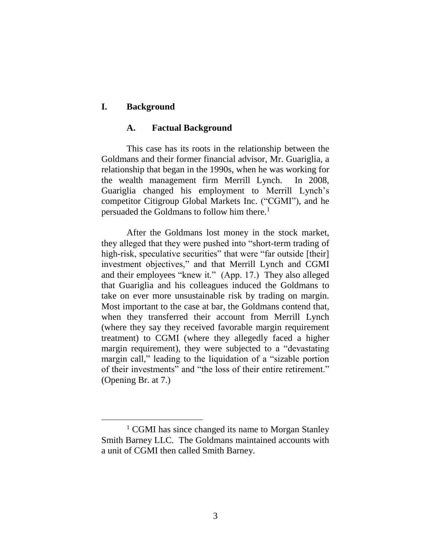# **I. Background**

 $\overline{a}$ 

#### **A. Factual Background**

This case has its roots in the relationship between the Goldmans and their former financial advisor, Mr. Guariglia, a relationship that began in the 1990s, when he was working for the wealth management firm Merrill Lynch. In 2008, Guariglia changed his employment to Merrill Lynch's competitor Citigroup Global Markets Inc. ("CGMI"), and he persuaded the Goldmans to follow him there. 1

After the Goldmans lost money in the stock market, they alleged that they were pushed into "short-term trading of high-risk, speculative securities" that were "far outside [their] investment objectives," and that Merrill Lynch and CGMI and their employees "knew it." (App. 17.) They also alleged that Guariglia and his colleagues induced the Goldmans to take on ever more unsustainable risk by trading on margin. Most important to the case at bar, the Goldmans contend that, when they transferred their account from Merrill Lynch (where they say they received favorable margin requirement treatment) to CGMI (where they allegedly faced a higher margin requirement), they were subjected to a "devastating margin call," leading to the liquidation of a "sizable portion of their investments" and "the loss of their entire retirement." (Opening Br. at 7.)

<sup>&</sup>lt;sup>1</sup> CGMI has since changed its name to Morgan Stanley Smith Barney LLC. The Goldmans maintained accounts with a unit of CGMI then called Smith Barney.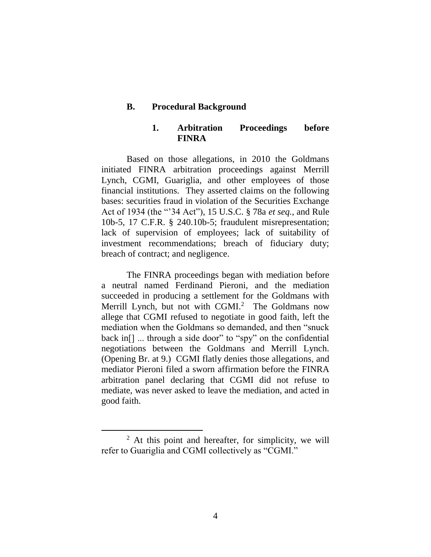### **B. Procedural Background**

### **1. Arbitration Proceedings before FINRA**

Based on those allegations, in 2010 the Goldmans initiated FINRA arbitration proceedings against Merrill Lynch, CGMI, Guariglia, and other employees of those financial institutions. They asserted claims on the following bases: securities fraud in violation of the Securities Exchange Act of 1934 (the "'34 Act"), 15 U.S.C. § 78a *et seq.*, and Rule 10b-5, 17 C.F.R. § 240.10b-5; fraudulent misrepresentation; lack of supervision of employees; lack of suitability of investment recommendations; breach of fiduciary duty; breach of contract; and negligence.

The FINRA proceedings began with mediation before a neutral named Ferdinand Pieroni, and the mediation succeeded in producing a settlement for the Goldmans with Merrill Lynch, but not with  $CGMI<sup>2</sup>$  The Goldmans now allege that CGMI refused to negotiate in good faith, left the mediation when the Goldmans so demanded, and then "snuck back in<sup>[]</sup> ... through a side door" to "spy" on the confidential negotiations between the Goldmans and Merrill Lynch. (Opening Br. at 9.) CGMI flatly denies those allegations, and mediator Pieroni filed a sworn affirmation before the FINRA arbitration panel declaring that CGMI did not refuse to mediate, was never asked to leave the mediation, and acted in good faith.

 $\overline{a}$ 

 $2$  At this point and hereafter, for simplicity, we will refer to Guariglia and CGMI collectively as "CGMI."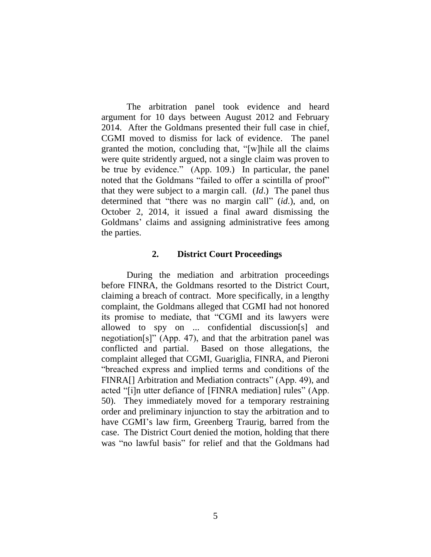The arbitration panel took evidence and heard argument for 10 days between August 2012 and February 2014. After the Goldmans presented their full case in chief, CGMI moved to dismiss for lack of evidence. The panel granted the motion, concluding that, "[w]hile all the claims were quite stridently argued, not a single claim was proven to be true by evidence." (App. 109.) In particular, the panel noted that the Goldmans "failed to offer a scintilla of proof" that they were subject to a margin call. (*Id*.) The panel thus determined that "there was no margin call" (*id*.), and, on October 2, 2014, it issued a final award dismissing the Goldmans' claims and assigning administrative fees among the parties.

#### **2. District Court Proceedings**

During the mediation and arbitration proceedings before FINRA, the Goldmans resorted to the District Court, claiming a breach of contract. More specifically, in a lengthy complaint, the Goldmans alleged that CGMI had not honored its promise to mediate, that "CGMI and its lawyers were allowed to spy on ... confidential discussion[s] and negotiation[s]" (App. 47), and that the arbitration panel was conflicted and partial. Based on those allegations, the complaint alleged that CGMI, Guariglia, FINRA, and Pieroni "breached express and implied terms and conditions of the FINRA[] Arbitration and Mediation contracts" (App. 49), and acted "[i]n utter defiance of [FINRA mediation] rules" (App. 50). They immediately moved for a temporary restraining order and preliminary injunction to stay the arbitration and to have CGMI's law firm, Greenberg Traurig, barred from the case. The District Court denied the motion, holding that there was "no lawful basis" for relief and that the Goldmans had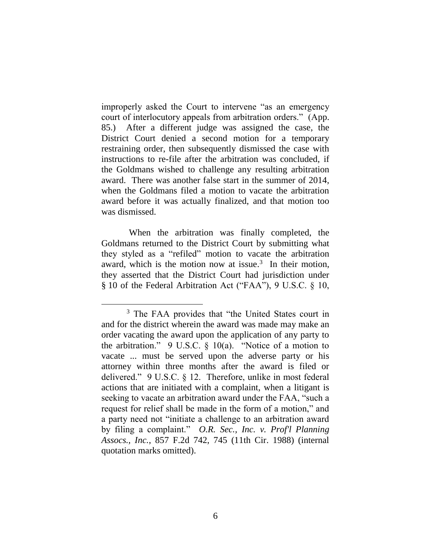improperly asked the Court to intervene "as an emergency court of interlocutory appeals from arbitration orders." (App. 85.) After a different judge was assigned the case, the District Court denied a second motion for a temporary restraining order, then subsequently dismissed the case with instructions to re-file after the arbitration was concluded, if the Goldmans wished to challenge any resulting arbitration award. There was another false start in the summer of 2014, when the Goldmans filed a motion to vacate the arbitration award before it was actually finalized, and that motion too was dismissed.

When the arbitration was finally completed, the Goldmans returned to the District Court by submitting what they styled as a "refiled" motion to vacate the arbitration award, which is the motion now at issue.<sup>3</sup> In their motion, they asserted that the District Court had jurisdiction under § 10 of the Federal Arbitration Act ("FAA"), 9 U.S.C. § 10,

<sup>&</sup>lt;sup>3</sup> The FAA provides that "the United States court in and for the district wherein the award was made may make an order vacating the award upon the application of any party to the arbitration." 9 U.S.C.  $\S$  10(a). "Notice of a motion to vacate ... must be served upon the adverse party or his attorney within three months after the award is filed or delivered." 9 U.S.C. § 12. Therefore, unlike in most federal actions that are initiated with a complaint, when a litigant is seeking to vacate an arbitration award under the FAA, "such a request for relief shall be made in the form of a motion," and a party need not "initiate a challenge to an arbitration award by filing a complaint." *O.R. Sec., Inc. v. Prof'l Planning Assocs., Inc.*, 857 F.2d 742, 745 (11th Cir. 1988) (internal quotation marks omitted).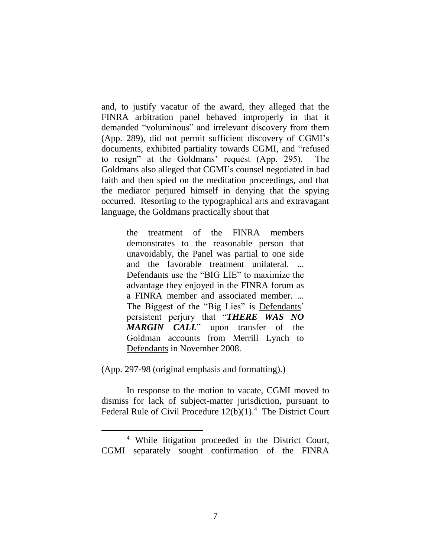and, to justify vacatur of the award, they alleged that the FINRA arbitration panel behaved improperly in that it demanded "voluminous" and irrelevant discovery from them (App. 289), did not permit sufficient discovery of CGMI's documents, exhibited partiality towards CGMI, and "refused to resign" at the Goldmans' request (App. 295). The Goldmans also alleged that CGMI's counsel negotiated in bad faith and then spied on the meditation proceedings, and that the mediator perjured himself in denying that the spying occurred. Resorting to the typographical arts and extravagant language, the Goldmans practically shout that

> the treatment of the FINRA members demonstrates to the reasonable person that unavoidably, the Panel was partial to one side and the favorable treatment unilateral. ... Defendants use the "BIG LIE" to maximize the advantage they enjoyed in the FINRA forum as a FINRA member and associated member. ... The Biggest of the "Big Lies" is Defendants' persistent perjury that "*THERE WAS NO MARGIN CALL*" upon transfer of the Goldman accounts from Merrill Lynch to Defendants in November 2008.

(App. 297-98 (original emphasis and formatting).)

 $\overline{a}$ 

In response to the motion to vacate, CGMI moved to dismiss for lack of subject-matter jurisdiction, pursuant to Federal Rule of Civil Procedure  $12(b)(1)$ .<sup>4</sup> The District Court

<sup>4</sup> While litigation proceeded in the District Court, CGMI separately sought confirmation of the FINRA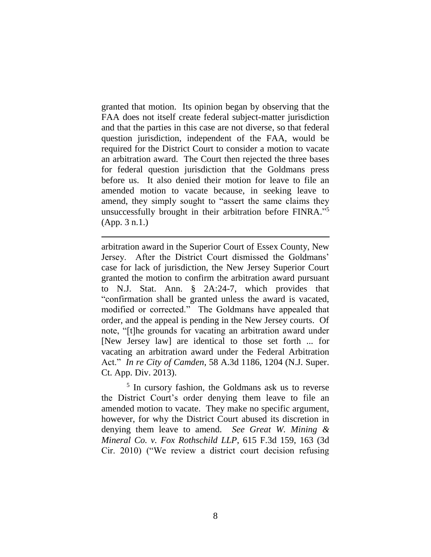granted that motion. Its opinion began by observing that the FAA does not itself create federal subject-matter jurisdiction and that the parties in this case are not diverse, so that federal question jurisdiction, independent of the FAA, would be required for the District Court to consider a motion to vacate an arbitration award. The Court then rejected the three bases for federal question jurisdiction that the Goldmans press before us. It also denied their motion for leave to file an amended motion to vacate because, in seeking leave to amend, they simply sought to "assert the same claims they unsuccessfully brought in their arbitration before FINRA." 5 (App. 3 n.1.)

arbitration award in the Superior Court of Essex County, New Jersey. After the District Court dismissed the Goldmans' case for lack of jurisdiction, the New Jersey Superior Court granted the motion to confirm the arbitration award pursuant to N.J. Stat. Ann. § 2A:24-7, which provides that "confirmation shall be granted unless the award is vacated, modified or corrected." The Goldmans have appealed that order, and the appeal is pending in the New Jersey courts. Of note, "[t]he grounds for vacating an arbitration award under [New Jersey law] are identical to those set forth ... for vacating an arbitration award under the Federal Arbitration Act." *In re City of Camden*, 58 A.3d 1186, 1204 (N.J. Super. Ct. App. Div. 2013).

5 In cursory fashion, the Goldmans ask us to reverse the District Court's order denying them leave to file an amended motion to vacate. They make no specific argument, however, for why the District Court abused its discretion in denying them leave to amend. *See Great W. Mining & Mineral Co. v. Fox Rothschild LLP*, 615 F.3d 159, 163 (3d Cir. 2010) ("We review a district court decision refusing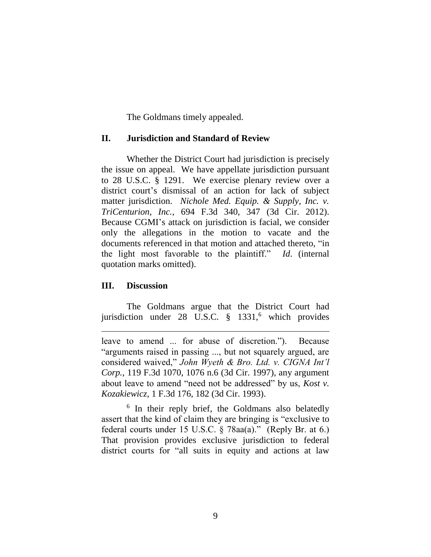The Goldmans timely appealed.

#### **II. Jurisdiction and Standard of Review**

Whether the District Court had jurisdiction is precisely the issue on appeal. We have appellate jurisdiction pursuant to 28 U.S.C. § 1291. We exercise plenary review over a district court's dismissal of an action for lack of subject matter jurisdiction. *Nichole Med. Equip. & Supply, Inc. v. TriCenturion, Inc.*, 694 F.3d 340, 347 (3d Cir. 2012). Because CGMI's attack on jurisdiction is facial, we consider only the allegations in the motion to vacate and the documents referenced in that motion and attached thereto, "in the light most favorable to the plaintiff." *Id*. (internal quotation marks omitted).

### **III. Discussion**

 $\overline{a}$ 

The Goldmans argue that the District Court had jurisdiction under  $28$  U.S.C.  $\frac{8}{9}$  1331,<sup>6</sup> which provides

leave to amend ... for abuse of discretion."). Because "arguments raised in passing ..., but not squarely argued, are considered waived," *John Wyeth & Bro. Ltd. v. CIGNA Int'l Corp.*, 119 F.3d 1070, 1076 n.6 (3d Cir. 1997), any argument about leave to amend "need not be addressed" by us, *Kost v. Kozakiewicz*, 1 F.3d 176, 182 (3d Cir. 1993).

<sup>6</sup> In their reply brief, the Goldmans also belatedly assert that the kind of claim they are bringing is "exclusive to federal courts under 15 U.S.C. § 78aa(a)." (Reply Br. at 6.) That provision provides exclusive jurisdiction to federal district courts for "all suits in equity and actions at law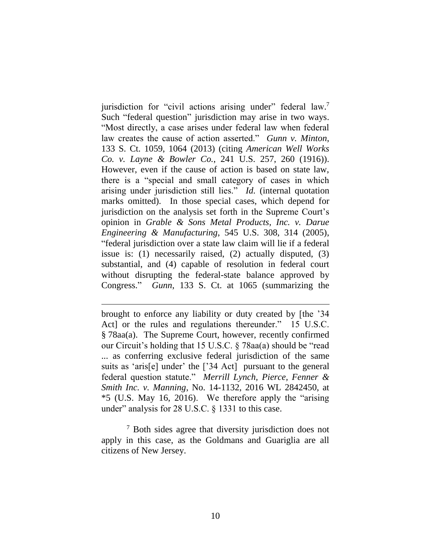jurisdiction for "civil actions arising under" federal law.<sup>7</sup> Such "federal question" jurisdiction may arise in two ways. "Most directly, a case arises under federal law when federal law creates the cause of action asserted." *Gunn v. Minton*, 133 S. Ct. 1059, 1064 (2013) (citing *American Well Works Co. v. Layne & Bowler Co.*, 241 U.S. 257, 260 (1916)). However, even if the cause of action is based on state law, there is a "special and small category of cases in which arising under jurisdiction still lies." *Id.* (internal quotation marks omitted). In those special cases, which depend for jurisdiction on the analysis set forth in the Supreme Court's opinion in *Grable & Sons Metal Products, Inc. v. Darue Engineering & Manufacturing*, 545 U.S. 308, 314 (2005), "federal jurisdiction over a state law claim will lie if a federal issue is: (1) necessarily raised, (2) actually disputed, (3) substantial, and (4) capable of resolution in federal court without disrupting the federal-state balance approved by Congress." *Gunn*, 133 S. Ct. at 1065 (summarizing the

brought to enforce any liability or duty created by [the '34 Act] or the rules and regulations thereunder." 15 U.S.C. § 78aa(a). The Supreme Court, however, recently confirmed our Circuit's holding that 15 U.S.C. § 78aa(a) should be "read ... as conferring exclusive federal jurisdiction of the same suits as 'aris[e] under' the ['34 Act] pursuant to the general federal question statute." *Merrill Lynch, Pierce, Fenner & Smith Inc. v. Manning*, No. 14-1132, 2016 WL 2842450, at \*5 (U.S. May 16, 2016). We therefore apply the "arising under" analysis for 28 U.S.C. § 1331 to this case.

<sup>7</sup> Both sides agree that diversity jurisdiction does not apply in this case, as the Goldmans and Guariglia are all citizens of New Jersey.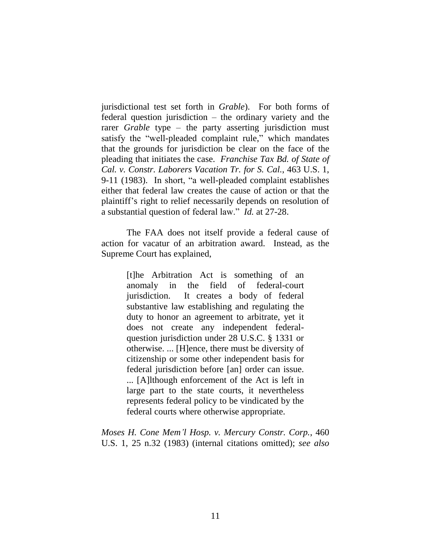jurisdictional test set forth in *Grable*). For both forms of federal question jurisdiction – the ordinary variety and the rarer *Grable* type – the party asserting jurisdiction must satisfy the "well-pleaded complaint rule," which mandates that the grounds for jurisdiction be clear on the face of the pleading that initiates the case. *Franchise Tax Bd. of State of Cal. v. Constr. Laborers Vacation Tr. for S. Cal.*, 463 U.S. 1, 9-11 (1983). In short, "a well-pleaded complaint establishes either that federal law creates the cause of action or that the plaintiff's right to relief necessarily depends on resolution of a substantial question of federal law." *Id.* at 27-28.

The FAA does not itself provide a federal cause of action for vacatur of an arbitration award. Instead, as the Supreme Court has explained,

> [t]he Arbitration Act is something of an anomaly in the field of federal-court jurisdiction. It creates a body of federal substantive law establishing and regulating the duty to honor an agreement to arbitrate, yet it does not create any independent federalquestion jurisdiction under 28 U.S.C. § 1331 or otherwise. ... [H]ence, there must be diversity of citizenship or some other independent basis for federal jurisdiction before [an] order can issue. ... [A]lthough enforcement of the Act is left in large part to the state courts, it nevertheless represents federal policy to be vindicated by the federal courts where otherwise appropriate.

*Moses H. Cone Mem'l Hosp. v. Mercury Constr. Corp.*, 460 U.S. 1, 25 n.32 (1983) (internal citations omitted); *see also*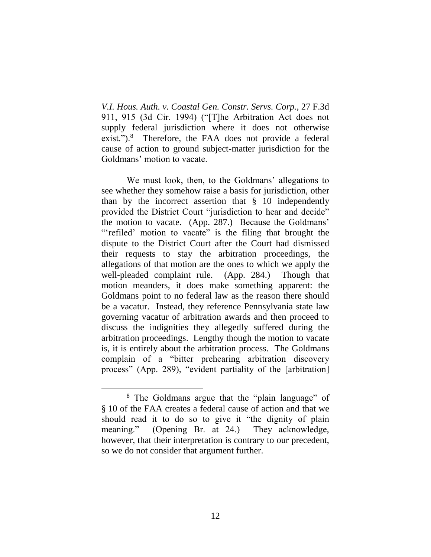*V.I. Hous. Auth. v. Coastal Gen. Constr. Servs. Corp.*, 27 F.3d 911, 915 (3d Cir. 1994) ("[T]he Arbitration Act does not supply federal jurisdiction where it does not otherwise exist.").<sup>8</sup> Therefore, the FAA does not provide a federal cause of action to ground subject-matter jurisdiction for the Goldmans' motion to vacate.

We must look, then, to the Goldmans' allegations to see whether they somehow raise a basis for jurisdiction, other than by the incorrect assertion that  $\S$  10 independently provided the District Court "jurisdiction to hear and decide" the motion to vacate. (App. 287.) Because the Goldmans' "'refiled' motion to vacate" is the filing that brought the dispute to the District Court after the Court had dismissed their requests to stay the arbitration proceedings, the allegations of that motion are the ones to which we apply the well-pleaded complaint rule. (App. 284.) Though that motion meanders, it does make something apparent: the Goldmans point to no federal law as the reason there should be a vacatur. Instead, they reference Pennsylvania state law governing vacatur of arbitration awards and then proceed to discuss the indignities they allegedly suffered during the arbitration proceedings. Lengthy though the motion to vacate is, it is entirely about the arbitration process. The Goldmans complain of a "bitter prehearing arbitration discovery process" (App. 289), "evident partiality of the [arbitration]

<sup>8</sup> The Goldmans argue that the "plain language" of § 10 of the FAA creates a federal cause of action and that we should read it to do so to give it "the dignity of plain meaning." (Opening Br. at 24.) They acknowledge, however, that their interpretation is contrary to our precedent, so we do not consider that argument further.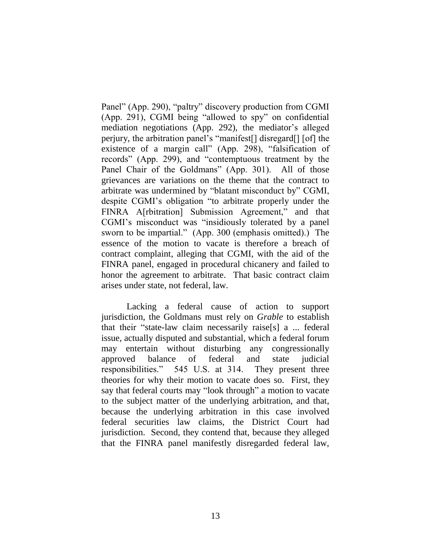Panel" (App. 290), "paltry" discovery production from CGMI (App. 291), CGMI being "allowed to spy" on confidential mediation negotiations (App. 292), the mediator's alleged perjury, the arbitration panel's "manifest[] disregard[] [of] the existence of a margin call" (App. 298), "falsification of records" (App. 299), and "contemptuous treatment by the Panel Chair of the Goldmans" (App. 301). All of those grievances are variations on the theme that the contract to arbitrate was undermined by "blatant misconduct by" CGMI, despite CGMI's obligation "to arbitrate properly under the FINRA A[rbitration] Submission Agreement," and that CGMI's misconduct was "insidiously tolerated by a panel sworn to be impartial." (App. 300 (emphasis omitted).) The essence of the motion to vacate is therefore a breach of contract complaint, alleging that CGMI, with the aid of the FINRA panel, engaged in procedural chicanery and failed to honor the agreement to arbitrate. That basic contract claim arises under state, not federal, law.

Lacking a federal cause of action to support jurisdiction, the Goldmans must rely on *Grable* to establish that their "state-law claim necessarily raise[s] a ... federal issue, actually disputed and substantial, which a federal forum may entertain without disturbing any congressionally approved balance of federal and state judicial responsibilities." 545 U.S. at 314. They present three theories for why their motion to vacate does so. First, they say that federal courts may "look through" a motion to vacate to the subject matter of the underlying arbitration, and that, because the underlying arbitration in this case involved federal securities law claims, the District Court had jurisdiction. Second, they contend that, because they alleged that the FINRA panel manifestly disregarded federal law,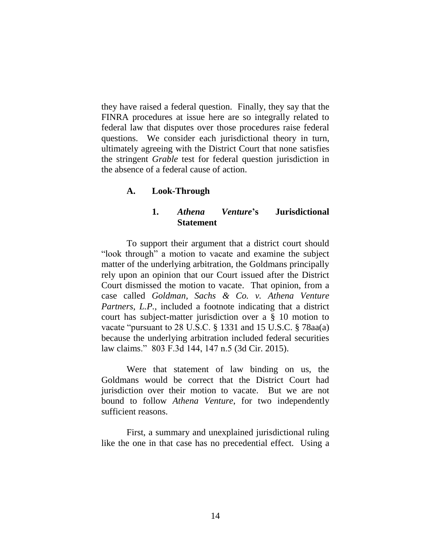they have raised a federal question. Finally, they say that the FINRA procedures at issue here are so integrally related to federal law that disputes over those procedures raise federal questions. We consider each jurisdictional theory in turn, ultimately agreeing with the District Court that none satisfies the stringent *Grable* test for federal question jurisdiction in the absence of a federal cause of action.

## **A. Look-Through**

### **1.** *Athena Venture***'s Jurisdictional Statement**

To support their argument that a district court should "look through" a motion to vacate and examine the subject matter of the underlying arbitration, the Goldmans principally rely upon an opinion that our Court issued after the District Court dismissed the motion to vacate. That opinion, from a case called *Goldman, Sachs & Co. v. Athena Venture Partners, L.P.*, included a footnote indicating that a district court has subject-matter jurisdiction over a § 10 motion to vacate "pursuant to 28 U.S.C. § 1331 and 15 U.S.C. § 78aa(a) because the underlying arbitration included federal securities law claims." 803 F.3d 144, 147 n.5 (3d Cir. 2015).

Were that statement of law binding on us, the Goldmans would be correct that the District Court had jurisdiction over their motion to vacate. But we are not bound to follow *Athena Venture*, for two independently sufficient reasons.

First, a summary and unexplained jurisdictional ruling like the one in that case has no precedential effect. Using a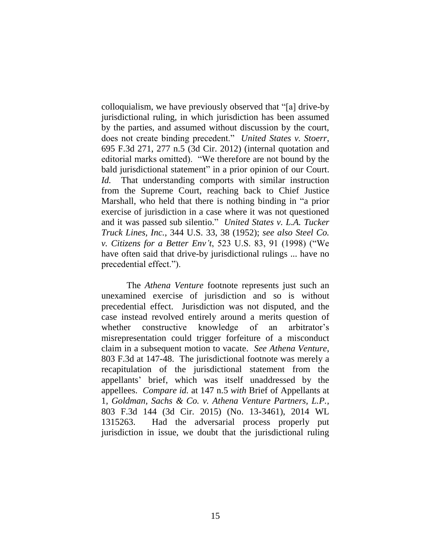colloquialism, we have previously observed that "[a] drive-by jurisdictional ruling, in which jurisdiction has been assumed by the parties, and assumed without discussion by the court, does not create binding precedent." *United States v. Stoerr*, 695 F.3d 271, 277 n.5 (3d Cir. 2012) (internal quotation and editorial marks omitted). "We therefore are not bound by the bald jurisdictional statement" in a prior opinion of our Court. *Id.* That understanding comports with similar instruction from the Supreme Court, reaching back to Chief Justice Marshall, who held that there is nothing binding in "a prior exercise of jurisdiction in a case where it was not questioned and it was passed sub silentio." *United States v. L.A. Tucker Truck Lines, Inc.*, 344 U.S. 33, 38 (1952); *see also Steel Co. v. Citizens for a Better Env't*, 523 U.S. 83, 91 (1998) ("We have often said that drive-by jurisdictional rulings ... have no precedential effect.").

The *Athena Venture* footnote represents just such an unexamined exercise of jurisdiction and so is without precedential effect. Jurisdiction was not disputed, and the case instead revolved entirely around a merits question of whether constructive knowledge of an arbitrator's misrepresentation could trigger forfeiture of a misconduct claim in a subsequent motion to vacate. *See Athena Venture*, 803 F.3d at 147-48. The jurisdictional footnote was merely a recapitulation of the jurisdictional statement from the appellants' brief, which was itself unaddressed by the appellees. *Compare id.* at 147 n.5 *with* Brief of Appellants at 1, *Goldman, Sachs & Co. v. Athena Venture Partners, L.P.*, 803 F.3d 144 (3d Cir. 2015) (No. 13-3461), 2014 WL 1315263. Had the adversarial process properly put jurisdiction in issue, we doubt that the jurisdictional ruling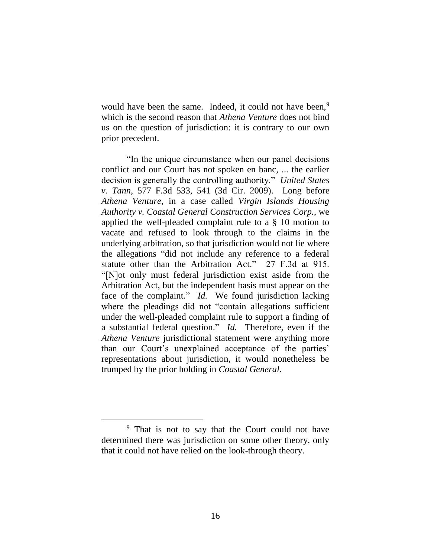would have been the same. Indeed, it could not have been,<sup>9</sup> which is the second reason that *Athena Venture* does not bind us on the question of jurisdiction: it is contrary to our own prior precedent.

"In the unique circumstance when our panel decisions conflict and our Court has not spoken en banc, ... the earlier decision is generally the controlling authority." *United States v. Tann*, 577 F.3d 533, 541 (3d Cir. 2009). Long before *Athena Venture*, in a case called *Virgin Islands Housing Authority v. Coastal General Construction Services Corp.*, we applied the well-pleaded complaint rule to a § 10 motion to vacate and refused to look through to the claims in the underlying arbitration, so that jurisdiction would not lie where the allegations "did not include any reference to a federal statute other than the Arbitration Act." 27 F.3d at 915. "[N]ot only must federal jurisdiction exist aside from the Arbitration Act, but the independent basis must appear on the face of the complaint." *Id.* We found jurisdiction lacking where the pleadings did not "contain allegations sufficient under the well-pleaded complaint rule to support a finding of a substantial federal question." *Id.* Therefore, even if the *Athena Venture* jurisdictional statement were anything more than our Court's unexplained acceptance of the parties' representations about jurisdiction, it would nonetheless be trumped by the prior holding in *Coastal General*.

 $\overline{a}$ 

<sup>9</sup> That is not to say that the Court could not have determined there was jurisdiction on some other theory, only that it could not have relied on the look-through theory.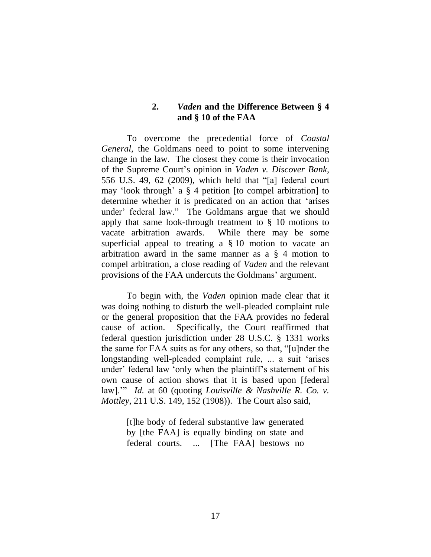# **2.** *Vaden* **and the Difference Between § 4 and § 10 of the FAA**

To overcome the precedential force of *Coastal General*, the Goldmans need to point to some intervening change in the law. The closest they come is their invocation of the Supreme Court's opinion in *Vaden v. Discover Bank*, 556 U.S. 49, 62 (2009), which held that "[a] federal court may 'look through' a § 4 petition [to compel arbitration] to determine whether it is predicated on an action that 'arises under' federal law." The Goldmans argue that we should apply that same look-through treatment to § 10 motions to vacate arbitration awards. While there may be some superficial appeal to treating a § 10 motion to vacate an arbitration award in the same manner as a § 4 motion to compel arbitration, a close reading of *Vaden* and the relevant provisions of the FAA undercuts the Goldmans' argument.

To begin with, the *Vaden* opinion made clear that it was doing nothing to disturb the well-pleaded complaint rule or the general proposition that the FAA provides no federal cause of action. Specifically, the Court reaffirmed that federal question jurisdiction under 28 U.S.C. § 1331 works the same for FAA suits as for any others, so that, "[u]nder the longstanding well-pleaded complaint rule, ... a suit 'arises under' federal law 'only when the plaintiff's statement of his own cause of action shows that it is based upon [federal law].'" *Id.* at 60 (quoting *Louisville & Nashville R. Co. v. Mottley*, 211 U.S. 149, 152 (1908)). The Court also said,

> [t]he body of federal substantive law generated by [the FAA] is equally binding on state and federal courts. ... [The FAA] bestows no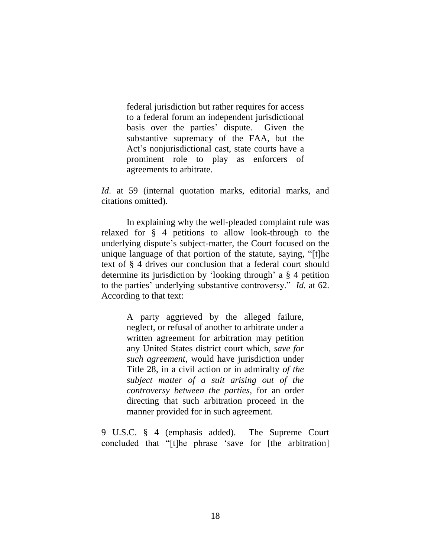federal jurisdiction but rather requires for access to a federal forum an independent jurisdictional basis over the parties' dispute. Given the substantive supremacy of the FAA, but the Act's nonjurisdictional cast, state courts have a prominent role to play as enforcers of agreements to arbitrate.

*Id*. at 59 (internal quotation marks, editorial marks, and citations omitted).

In explaining why the well-pleaded complaint rule was relaxed for § 4 petitions to allow look-through to the underlying dispute's subject-matter, the Court focused on the unique language of that portion of the statute, saying, "[t]he text of § 4 drives our conclusion that a federal court should determine its jurisdiction by 'looking through' a § 4 petition to the parties' underlying substantive controversy." *Id.* at 62. According to that text:

> A party aggrieved by the alleged failure, neglect, or refusal of another to arbitrate under a written agreement for arbitration may petition any United States district court which, *save for such agreement*, would have jurisdiction under Title 28, in a civil action or in admiralty *of the subject matter of a suit arising out of the controversy between the parties*, for an order directing that such arbitration proceed in the manner provided for in such agreement.

9 U.S.C. § 4 (emphasis added). The Supreme Court concluded that "[t]he phrase 'save for [the arbitration]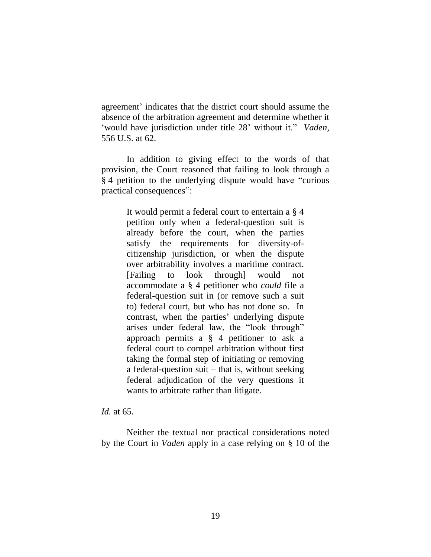agreement' indicates that the district court should assume the absence of the arbitration agreement and determine whether it 'would have jurisdiction under title 28' without it." *Vaden*, 556 U.S. at 62.

In addition to giving effect to the words of that provision, the Court reasoned that failing to look through a § 4 petition to the underlying dispute would have "curious practical consequences":

> It would permit a federal court to entertain a § 4 petition only when a federal-question suit is already before the court, when the parties satisfy the requirements for diversity-ofcitizenship jurisdiction, or when the dispute over arbitrability involves a maritime contract. [Failing to look through] would not accommodate a § 4 petitioner who *could* file a federal-question suit in (or remove such a suit to) federal court, but who has not done so. In contrast, when the parties' underlying dispute arises under federal law, the "look through" approach permits a § 4 petitioner to ask a federal court to compel arbitration without first taking the formal step of initiating or removing a federal-question suit – that is, without seeking federal adjudication of the very questions it wants to arbitrate rather than litigate.

*Id.* at 65.

Neither the textual nor practical considerations noted by the Court in *Vaden* apply in a case relying on § 10 of the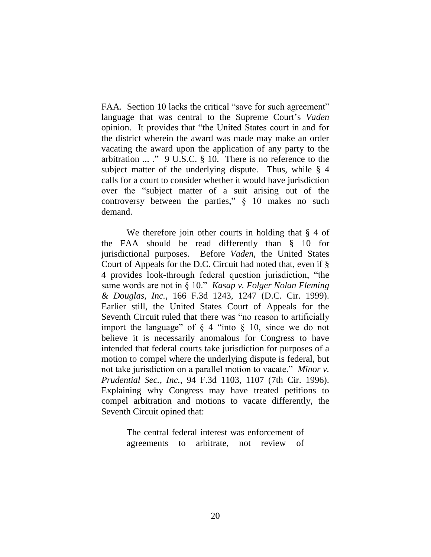FAA. Section 10 lacks the critical "save for such agreement" language that was central to the Supreme Court's *Vaden*  opinion. It provides that "the United States court in and for the district wherein the award was made may make an order vacating the award upon the application of any party to the arbitration ... ." 9 U.S.C. § 10. There is no reference to the subject matter of the underlying dispute.Thus, while § 4 calls for a court to consider whether it would have jurisdiction over the "subject matter of a suit arising out of the controversy between the parties," § 10 makes no such demand.

We therefore join other courts in holding that § 4 of the FAA should be read differently than § 10 for jurisdictional purposes. Before *Vaden*, the United States Court of Appeals for the D.C. Circuit had noted that, even if § 4 provides look-through federal question jurisdiction, "the same words are not in § 10." *Kasap v. Folger Nolan Fleming & Douglas, Inc.*, 166 F.3d 1243, 1247 (D.C. Cir. 1999). Earlier still, the United States Court of Appeals for the Seventh Circuit ruled that there was "no reason to artificially import the language" of  $\S$  4 "into  $\S$  10, since we do not believe it is necessarily anomalous for Congress to have intended that federal courts take jurisdiction for purposes of a motion to compel where the underlying dispute is federal, but not take jurisdiction on a parallel motion to vacate." *Minor v. Prudential Sec., Inc.*, 94 F.3d 1103, 1107 (7th Cir. 1996). Explaining why Congress may have treated petitions to compel arbitration and motions to vacate differently, the Seventh Circuit opined that:

> The central federal interest was enforcement of agreements to arbitrate, not review of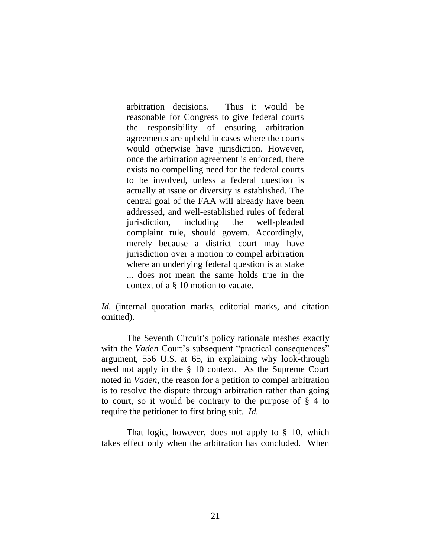arbitration decisions. Thus it would be reasonable for Congress to give federal courts the responsibility of ensuring arbitration agreements are upheld in cases where the courts would otherwise have jurisdiction. However, once the arbitration agreement is enforced, there exists no compelling need for the federal courts to be involved, unless a federal question is actually at issue or diversity is established. The central goal of the FAA will already have been addressed, and well-established rules of federal jurisdiction, including the well-pleaded complaint rule, should govern. Accordingly, merely because a district court may have jurisdiction over a motion to compel arbitration where an underlying federal question is at stake ... does not mean the same holds true in the context of a § 10 motion to vacate.

*Id.* (internal quotation marks, editorial marks, and citation omitted).

The Seventh Circuit's policy rationale meshes exactly with the *Vaden* Court's subsequent "practical consequences" argument, 556 U.S. at 65, in explaining why look-through need not apply in the § 10 context. As the Supreme Court noted in *Vaden*, the reason for a petition to compel arbitration is to resolve the dispute through arbitration rather than going to court, so it would be contrary to the purpose of § 4 to require the petitioner to first bring suit. *Id.*

That logic, however, does not apply to § 10, which takes effect only when the arbitration has concluded. When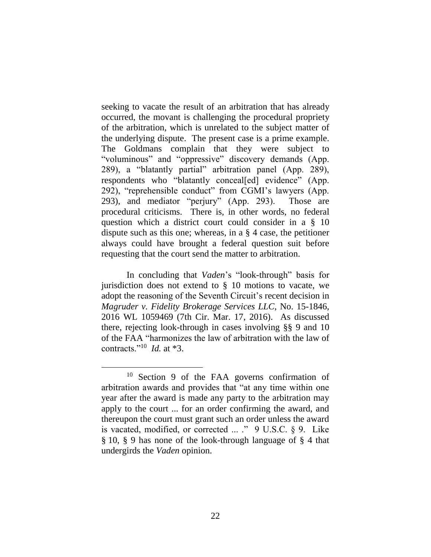seeking to vacate the result of an arbitration that has already occurred, the movant is challenging the procedural propriety of the arbitration, which is unrelated to the subject matter of the underlying dispute. The present case is a prime example. The Goldmans complain that they were subject to "voluminous" and "oppressive" discovery demands (App. 289), a "blatantly partial" arbitration panel (App. 289), respondents who "blatantly conceal[ed] evidence" (App. 292), "reprehensible conduct" from CGMI's lawyers (App. 293), and mediator "perjury" (App. 293). Those are procedural criticisms. There is, in other words, no federal question which a district court could consider in a § 10 dispute such as this one; whereas, in a § 4 case, the petitioner always could have brought a federal question suit before requesting that the court send the matter to arbitration.

In concluding that *Vaden*'s "look-through" basis for jurisdiction does not extend to § 10 motions to vacate, we adopt the reasoning of the Seventh Circuit's recent decision in *Magruder v. Fidelity Brokerage Services LLC*, No. 15-1846, 2016 WL 1059469 (7th Cir. Mar. 17, 2016). As discussed there, rejecting look-through in cases involving §§ 9 and 10 of the FAA "harmonizes the law of arbitration with the law of contracts."<sup>10</sup> *Id.* at \*3.

 $\overline{a}$ 

<sup>10</sup> Section 9 of the FAA governs confirmation of arbitration awards and provides that "at any time within one year after the award is made any party to the arbitration may apply to the court ... for an order confirming the award, and thereupon the court must grant such an order unless the award is vacated, modified, or corrected ... ." 9 U.S.C. § 9. Like § 10, § 9 has none of the look-through language of § 4 that undergirds the *Vaden* opinion.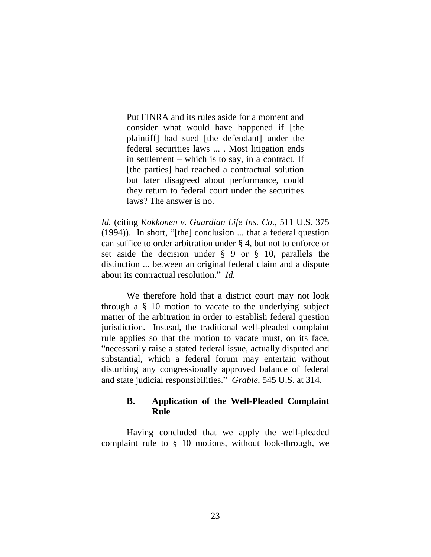Put FINRA and its rules aside for a moment and consider what would have happened if [the plaintiff] had sued [the defendant] under the federal securities laws ... . Most litigation ends in settlement – which is to say, in a contract. If [the parties] had reached a contractual solution but later disagreed about performance, could they return to federal court under the securities laws? The answer is no.

*Id.* (citing *Kokkonen v. Guardian Life Ins. Co.*, 511 U.S. 375 (1994)). In short, "[the] conclusion ... that a federal question can suffice to order arbitration under § 4, but not to enforce or set aside the decision under § 9 or § 10, parallels the distinction ... between an original federal claim and a dispute about its contractual resolution." *Id.*

We therefore hold that a district court may not look through a § 10 motion to vacate to the underlying subject matter of the arbitration in order to establish federal question jurisdiction. Instead, the traditional well-pleaded complaint rule applies so that the motion to vacate must, on its face, "necessarily raise a stated federal issue, actually disputed and substantial, which a federal forum may entertain without disturbing any congressionally approved balance of federal and state judicial responsibilities." *Grable*, 545 U.S. at 314.

# **B. Application of the Well-Pleaded Complaint Rule**

Having concluded that we apply the well-pleaded complaint rule to § 10 motions, without look-through, we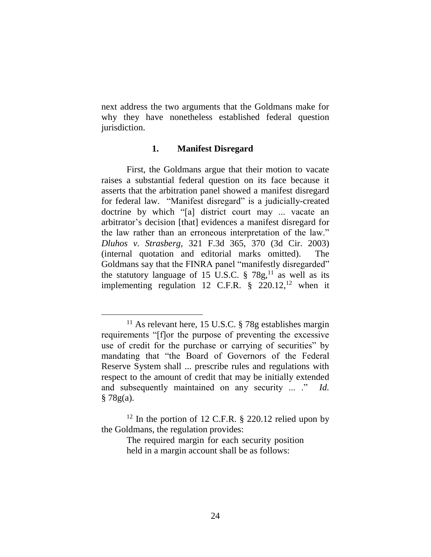next address the two arguments that the Goldmans make for why they have nonetheless established federal question jurisdiction.

#### **1. Manifest Disregard**

First, the Goldmans argue that their motion to vacate raises a substantial federal question on its face because it asserts that the arbitration panel showed a manifest disregard for federal law. "Manifest disregard" is a judicially-created doctrine by which "[a] district court may ... vacate an arbitrator's decision [that] evidences a manifest disregard for the law rather than an erroneous interpretation of the law." *Dluhos v. Strasberg*, 321 F.3d 365, 370 (3d Cir. 2003) (internal quotation and editorial marks omitted). The Goldmans say that the FINRA panel "manifestly disregarded" the statutory language of 15 U.S.C.  $\S 78g$ ,<sup>11</sup> as well as its implementing regulation 12 C.F.R.  $\S$  220.12,<sup>12</sup> when it

 $11$  As relevant here, 15 U.S.C. § 78g establishes margin requirements "[f]or the purpose of preventing the excessive use of credit for the purchase or carrying of securities" by mandating that "the Board of Governors of the Federal Reserve System shall ... prescribe rules and regulations with respect to the amount of credit that may be initially extended and subsequently maintained on any security ... ." *Id.*  $§ 78g(a).$ 

 $12$  In the portion of 12 C.F.R. § 220.12 relied upon by the Goldmans, the regulation provides:

The required margin for each security position held in a margin account shall be as follows: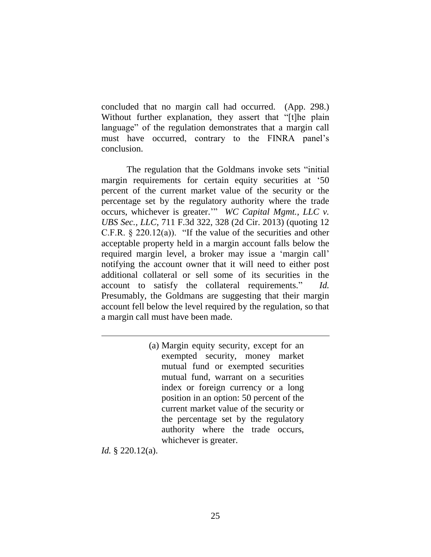concluded that no margin call had occurred. (App. 298.) Without further explanation, they assert that "[t]he plain language" of the regulation demonstrates that a margin call must have occurred, contrary to the FINRA panel's conclusion.

The regulation that the Goldmans invoke sets "initial margin requirements for certain equity securities at '50 percent of the current market value of the security or the percentage set by the regulatory authority where the trade occurs, whichever is greater.'" *WC Capital Mgmt., LLC v. UBS Sec., LLC*, 711 F.3d 322, 328 (2d Cir. 2013) (quoting 12 C.F.R.  $\S 220.12(a)$ . "If the value of the securities and other acceptable property held in a margin account falls below the required margin level, a broker may issue a 'margin call' notifying the account owner that it will need to either post additional collateral or sell some of its securities in the account to satisfy the collateral requirements." *Id.* Presumably, the Goldmans are suggesting that their margin account fell below the level required by the regulation, so that a margin call must have been made.

> (a) Margin equity security, except for an exempted security, money market mutual fund or exempted securities mutual fund, warrant on a securities index or foreign currency or a long position in an option: 50 percent of the current market value of the security or the percentage set by the regulatory authority where the trade occurs, whichever is greater.

*Id.* § 220.12(a).

 $\overline{a}$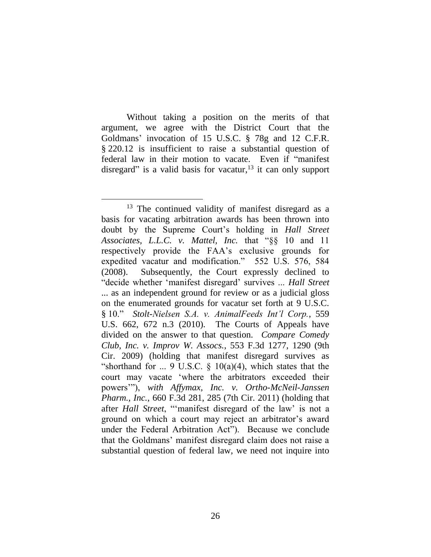Without taking a position on the merits of that argument, we agree with the District Court that the Goldmans' invocation of 15 U.S.C. § 78g and 12 C.F.R. § 220.12 is insufficient to raise a substantial question of federal law in their motion to vacate. Even if "manifest disregard" is a valid basis for vacatur, $13$  it can only support

 $\overline{a}$ <sup>13</sup> The continued validity of manifest disregard as a basis for vacating arbitration awards has been thrown into doubt by the Supreme Court's holding in *Hall Street Associates, L.L.C. v. Mattel, Inc.* that "§§ 10 and 11 respectively provide the FAA's exclusive grounds for expedited vacatur and modification." 552 U.S. 576, 584 (2008). Subsequently, the Court expressly declined to "decide whether 'manifest disregard' survives ... *Hall Street* ... as an independent ground for review or as a judicial gloss on the enumerated grounds for vacatur set forth at 9 U.S.C. § 10." *Stolt-Nielsen S.A. v. AnimalFeeds Int'l Corp.*, 559 U.S. 662, 672 n.3 (2010). The Courts of Appeals have divided on the answer to that question. *Compare Comedy Club, Inc. v. Improv W. Assocs.*, 553 F.3d 1277, 1290 (9th Cir. 2009) (holding that manifest disregard survives as "shorthand for ... 9 U.S.C.  $\S$  10(a)(4), which states that the court may vacate 'where the arbitrators exceeded their powers'"), *with Affymax, Inc. v. Ortho-McNeil-Janssen Pharm., Inc.*, 660 F.3d 281, 285 (7th Cir. 2011) (holding that after *Hall Street*, "'manifest disregard of the law' is not a ground on which a court may reject an arbitrator's award under the Federal Arbitration Act"). Because we conclude that the Goldmans' manifest disregard claim does not raise a substantial question of federal law, we need not inquire into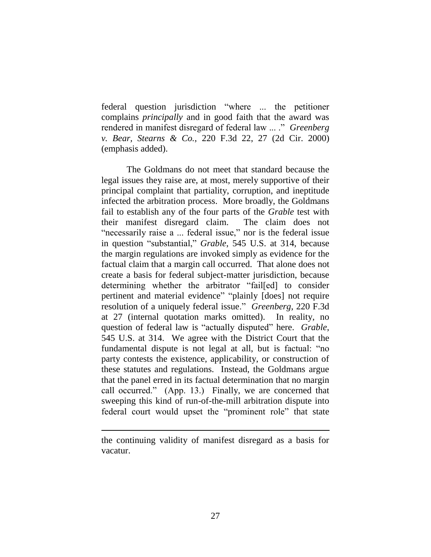federal question jurisdiction "where ... the petitioner complains *principally* and in good faith that the award was rendered in manifest disregard of federal law ... ." *Greenberg v. Bear, Stearns & Co.*, 220 F.3d 22, 27 (2d Cir. 2000) (emphasis added).

The Goldmans do not meet that standard because the legal issues they raise are, at most, merely supportive of their principal complaint that partiality, corruption, and ineptitude infected the arbitration process. More broadly, the Goldmans fail to establish any of the four parts of the *Grable* test with their manifest disregard claim. The claim does not "necessarily raise a ... federal issue," nor is the federal issue in question "substantial," *Grable*, 545 U.S. at 314, because the margin regulations are invoked simply as evidence for the factual claim that a margin call occurred. That alone does not create a basis for federal subject-matter jurisdiction, because determining whether the arbitrator "fail[ed] to consider pertinent and material evidence" "plainly [does] not require resolution of a uniquely federal issue." *Greenberg*, 220 F.3d at 27 (internal quotation marks omitted). In reality, no question of federal law is "actually disputed" here. *Grable*, 545 U.S. at 314. We agree with the District Court that the fundamental dispute is not legal at all, but is factual: "no party contests the existence, applicability, or construction of these statutes and regulations. Instead, the Goldmans argue that the panel erred in its factual determination that no margin call occurred." (App. 13.) Finally, we are concerned that sweeping this kind of run-of-the-mill arbitration dispute into federal court would upset the "prominent role" that state

 $\overline{a}$ 

the continuing validity of manifest disregard as a basis for vacatur.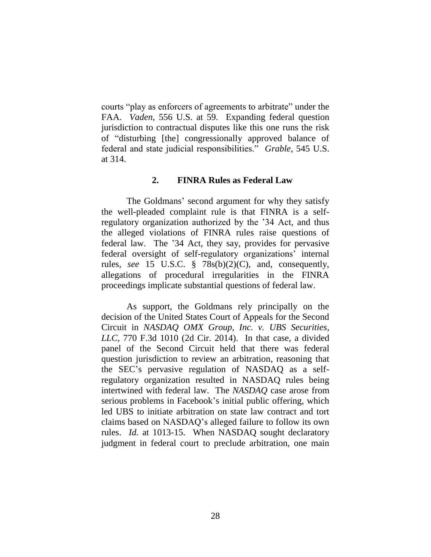courts "play as enforcers of agreements to arbitrate" under the FAA. *Vaden*, 556 U.S. at 59. Expanding federal question jurisdiction to contractual disputes like this one runs the risk of "disturbing [the] congressionally approved balance of federal and state judicial responsibilities." *Grable*, 545 U.S. at 314.

## **2. FINRA Rules as Federal Law**

The Goldmans' second argument for why they satisfy the well-pleaded complaint rule is that FINRA is a selfregulatory organization authorized by the '34 Act, and thus the alleged violations of FINRA rules raise questions of federal law. The '34 Act, they say, provides for pervasive federal oversight of self-regulatory organizations' internal rules, *see* 15 U.S.C. § 78s(b)(2)(C), and, consequently, allegations of procedural irregularities in the FINRA proceedings implicate substantial questions of federal law.

As support, the Goldmans rely principally on the decision of the United States Court of Appeals for the Second Circuit in *NASDAQ OMX Group, Inc. v. UBS Securities, LLC*, 770 F.3d 1010 (2d Cir. 2014). In that case, a divided panel of the Second Circuit held that there was federal question jurisdiction to review an arbitration, reasoning that the SEC's pervasive regulation of NASDAQ as a selfregulatory organization resulted in NASDAQ rules being intertwined with federal law. The *NASDAQ* case arose from serious problems in Facebook's initial public offering, which led UBS to initiate arbitration on state law contract and tort claims based on NASDAQ's alleged failure to follow its own rules. *Id.* at 1013-15. When NASDAQ sought declaratory judgment in federal court to preclude arbitration, one main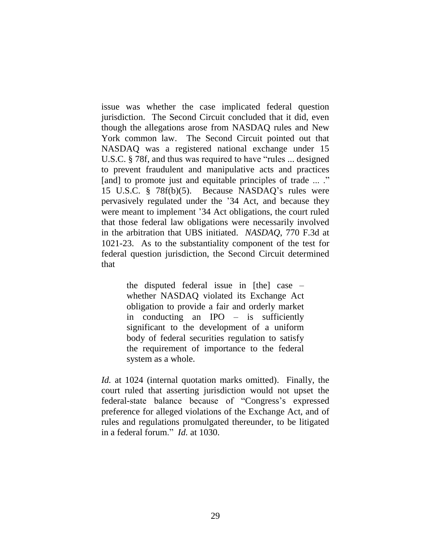issue was whether the case implicated federal question jurisdiction. The Second Circuit concluded that it did, even though the allegations arose from NASDAQ rules and New York common law. The Second Circuit pointed out that NASDAQ was a registered national exchange under 15 U.S.C. § 78f, and thus was required to have "rules ... designed to prevent fraudulent and manipulative acts and practices [and] to promote just and equitable principles of trade ... ." 15 U.S.C. § 78f(b)(5). Because NASDAQ's rules were pervasively regulated under the '34 Act, and because they were meant to implement '34 Act obligations, the court ruled that those federal law obligations were necessarily involved in the arbitration that UBS initiated. *NASDAQ*, 770 F.3d at 1021-23. As to the substantiality component of the test for federal question jurisdiction, the Second Circuit determined that

> the disputed federal issue in [the] case – whether NASDAQ violated its Exchange Act obligation to provide a fair and orderly market in conducting an IPO – is sufficiently significant to the development of a uniform body of federal securities regulation to satisfy the requirement of importance to the federal system as a whole.

*Id.* at 1024 (internal quotation marks omitted). Finally, the court ruled that asserting jurisdiction would not upset the federal-state balance because of "Congress's expressed preference for alleged violations of the Exchange Act, and of rules and regulations promulgated thereunder, to be litigated in a federal forum." *Id.* at 1030.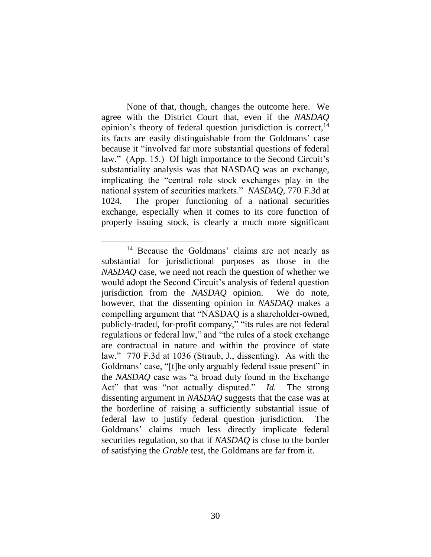None of that, though, changes the outcome here. We agree with the District Court that, even if the *NASDAQ* opinion's theory of federal question jurisdiction is correct, $<sup>14</sup>$ </sup> its facts are easily distinguishable from the Goldmans' case because it "involved far more substantial questions of federal law." (App. 15.) Of high importance to the Second Circuit's substantiality analysis was that NASDAQ was an exchange, implicating the "central role stock exchanges play in the national system of securities markets." *NASDAQ*, 770 F.3d at 1024. The proper functioning of a national securities exchange, especially when it comes to its core function of properly issuing stock, is clearly a much more significant

<sup>14</sup> Because the Goldmans' claims are not nearly as substantial for jurisdictional purposes as those in the *NASDAQ* case, we need not reach the question of whether we would adopt the Second Circuit's analysis of federal question jurisdiction from the *NASDAQ* opinion. We do note, however, that the dissenting opinion in *NASDAQ* makes a compelling argument that "NASDAQ is a shareholder-owned, publicly-traded, for-profit company," "its rules are not federal regulations or federal law," and "the rules of a stock exchange are contractual in nature and within the province of state law." 770 F.3d at 1036 (Straub, J., dissenting). As with the Goldmans' case, "[t]he only arguably federal issue present" in the *NASDAQ* case was "a broad duty found in the Exchange Act" that was "not actually disputed." *Id.* The strong dissenting argument in *NASDAQ* suggests that the case was at the borderline of raising a sufficiently substantial issue of federal law to justify federal question jurisdiction. The Goldmans' claims much less directly implicate federal securities regulation, so that if *NASDAQ* is close to the border of satisfying the *Grable* test, the Goldmans are far from it.